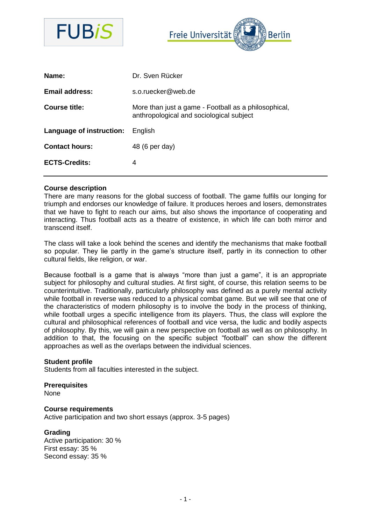



| Name:                    | Dr. Sven Rücker                                                                                  |
|--------------------------|--------------------------------------------------------------------------------------------------|
| Email address:           | s.o.ruecker@web.de                                                                               |
| Course title:            | More than just a game - Football as a philosophical,<br>anthropological and sociological subject |
|                          |                                                                                                  |
| Language of instruction: | English                                                                                          |
| <b>Contact hours:</b>    | 48 (6 per day)                                                                                   |
| <b>ECTS-Credits:</b>     | 4                                                                                                |

### **Course description**

There are many reasons for the global success of football. The game fulfils our longing for triumph and endorses our knowledge of failure. It produces heroes and losers, demonstrates that we have to fight to reach our aims, but also shows the importance of cooperating and interacting. Thus football acts as a theatre of existence, in which life can both mirror and transcend itself.

The class will take a look behind the scenes and identify the mechanisms that make football so popular. They lie partly in the game's structure itself, partly in its connection to other cultural fields, like religion, or war.

Because football is a game that is always "more than just a game", it is an appropriate subject for philosophy and cultural studies. At first sight, of course, this relation seems to be counterintuitive. Traditionally, particularly philosophy was defined as a purely mental activity while football in reverse was reduced to a physical combat game. But we will see that one of the characteristics of modern philosophy is to involve the body in the process of thinking, while football urges a specific intelligence from its players. Thus, the class will explore the cultural and philosophical references of football and vice versa, the ludic and bodily aspects of philosophy. By this, we will gain a new perspective on football as well as on philosophy. In addition to that, the focusing on the specific subject "football" can show the different approaches as well as the overlaps between the individual sciences.

#### **Student profile**

Students from all faculties interested in the subject.

## **Prerequisites**

None

#### **Course requirements**

Active participation and two short essays (approx. 3-5 pages)

#### **Grading**

Active participation: 30 % First essay: 35 % Second essay: 35 %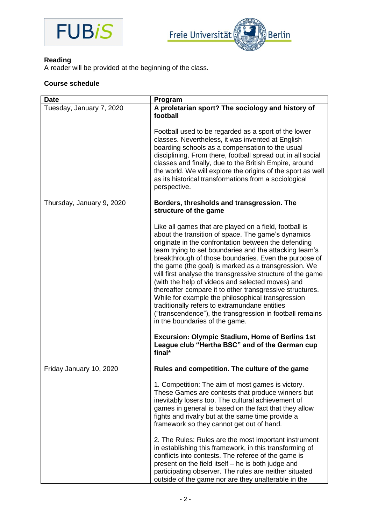



# **Reading**

A reader will be provided at the beginning of the class.

## **Course schedule**

| <b>Date</b>               | Program                                                                                                                                                                                                                                                                                                                                                                                                                                                                                                                                                                                                                                                                                                                                                                                                                                       |
|---------------------------|-----------------------------------------------------------------------------------------------------------------------------------------------------------------------------------------------------------------------------------------------------------------------------------------------------------------------------------------------------------------------------------------------------------------------------------------------------------------------------------------------------------------------------------------------------------------------------------------------------------------------------------------------------------------------------------------------------------------------------------------------------------------------------------------------------------------------------------------------|
| Tuesday, January 7, 2020  | A proletarian sport? The sociology and history of<br>football                                                                                                                                                                                                                                                                                                                                                                                                                                                                                                                                                                                                                                                                                                                                                                                 |
|                           | Football used to be regarded as a sport of the lower<br>classes. Nevertheless, it was invented at English<br>boarding schools as a compensation to the usual<br>disciplining. From there, football spread out in all social<br>classes and finally, due to the British Empire, around<br>the world. We will explore the origins of the sport as well<br>as its historical transformations from a sociological<br>perspective.                                                                                                                                                                                                                                                                                                                                                                                                                 |
| Thursday, January 9, 2020 | Borders, thresholds and transgression. The<br>structure of the game                                                                                                                                                                                                                                                                                                                                                                                                                                                                                                                                                                                                                                                                                                                                                                           |
|                           | Like all games that are played on a field, football is<br>about the transition of space. The game's dynamics<br>originate in the confrontation between the defending<br>team trying to set boundaries and the attacking team's<br>breakthrough of those boundaries. Even the purpose of<br>the game (the goal) is marked as a transgression. We<br>will first analyse the transgressive structure of the game<br>(with the help of videos and selected moves) and<br>thereafter compare it to other transgressive structures.<br>While for example the philosophical transgression<br>traditionally refers to extramundane entities<br>("transcendence"), the transgression in football remains<br>in the boundaries of the game.<br><b>Excursion: Olympic Stadium, Home of Berlins 1st</b><br>League club "Hertha BSC" and of the German cup |
|                           | final*                                                                                                                                                                                                                                                                                                                                                                                                                                                                                                                                                                                                                                                                                                                                                                                                                                        |
| Friday January 10, 2020   | Rules and competition. The culture of the game                                                                                                                                                                                                                                                                                                                                                                                                                                                                                                                                                                                                                                                                                                                                                                                                |
|                           | 1. Competition: The aim of most games is victory.<br>These Games are contests that produce winners but<br>inevitably losers too. The cultural achievement of<br>games in general is based on the fact that they allow<br>fights and rivalry but at the same time provide a<br>framework so they cannot get out of hand.                                                                                                                                                                                                                                                                                                                                                                                                                                                                                                                       |
|                           | 2. The Rules: Rules are the most important instrument<br>in establishing this framework, in this transforming of<br>conflicts into contests. The referee of the game is<br>present on the field itself – he is both judge and<br>participating observer. The rules are neither situated<br>outside of the game nor are they unalterable in the                                                                                                                                                                                                                                                                                                                                                                                                                                                                                                |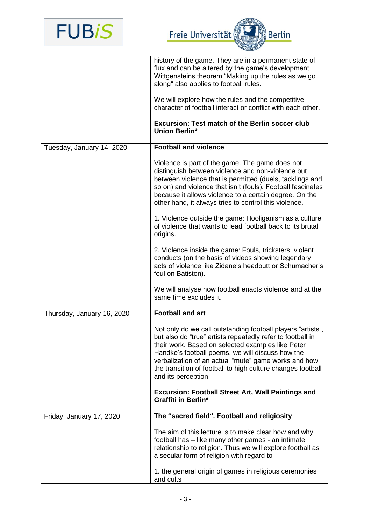

Freie Universität

|                            | history of the game. They are in a permanent state of<br>flux and can be altered by the game's development.<br>Wittgensteins theorem "Making up the rules as we go<br>along" also applies to football rules.<br>We will explore how the rules and the competitive<br>character of football interact or conflict with each other.<br><b>Excursion: Test match of the Berlin soccer club</b><br><b>Union Berlin*</b> |
|----------------------------|--------------------------------------------------------------------------------------------------------------------------------------------------------------------------------------------------------------------------------------------------------------------------------------------------------------------------------------------------------------------------------------------------------------------|
| Tuesday, January 14, 2020  | <b>Football and violence</b>                                                                                                                                                                                                                                                                                                                                                                                       |
|                            | Violence is part of the game. The game does not<br>distinguish between violence and non-violence but<br>between violence that is permitted (duels, tacklings and<br>so on) and violence that isn't (fouls). Football fascinates<br>because it allows violence to a certain degree. On the<br>other hand, it always tries to control this violence.                                                                 |
|                            | 1. Violence outside the game: Hooliganism as a culture<br>of violence that wants to lead football back to its brutal<br>origins.                                                                                                                                                                                                                                                                                   |
|                            | 2. Violence inside the game: Fouls, tricksters, violent<br>conducts (on the basis of videos showing legendary<br>acts of violence like Zidane's headbutt or Schumacher's<br>foul on Batiston).                                                                                                                                                                                                                     |
|                            | We will analyse how football enacts violence and at the<br>same time excludes it.                                                                                                                                                                                                                                                                                                                                  |
| Thursday, January 16, 2020 | <b>Football and art</b>                                                                                                                                                                                                                                                                                                                                                                                            |
|                            | Not only do we call outstanding football players "artists",<br>but also do "true" artists repeatedly refer to football in<br>their work. Based on selected examples like Peter<br>Handke's football poems, we will discuss how the<br>verbalization of an actual "mute" game works and how<br>the transition of football to high culture changes football<br>and its perception.                                   |
|                            | <b>Excursion: Football Street Art, Wall Paintings and</b><br><b>Graffiti in Berlin*</b>                                                                                                                                                                                                                                                                                                                            |
| Friday, January 17, 2020   | The "sacred field". Football and religiosity                                                                                                                                                                                                                                                                                                                                                                       |
|                            | The aim of this lecture is to make clear how and why<br>football has - like many other games - an intimate<br>relationship to religion. Thus we will explore football as<br>a secular form of religion with regard to                                                                                                                                                                                              |
|                            | 1. the general origin of games in religious ceremonies<br>and cults                                                                                                                                                                                                                                                                                                                                                |